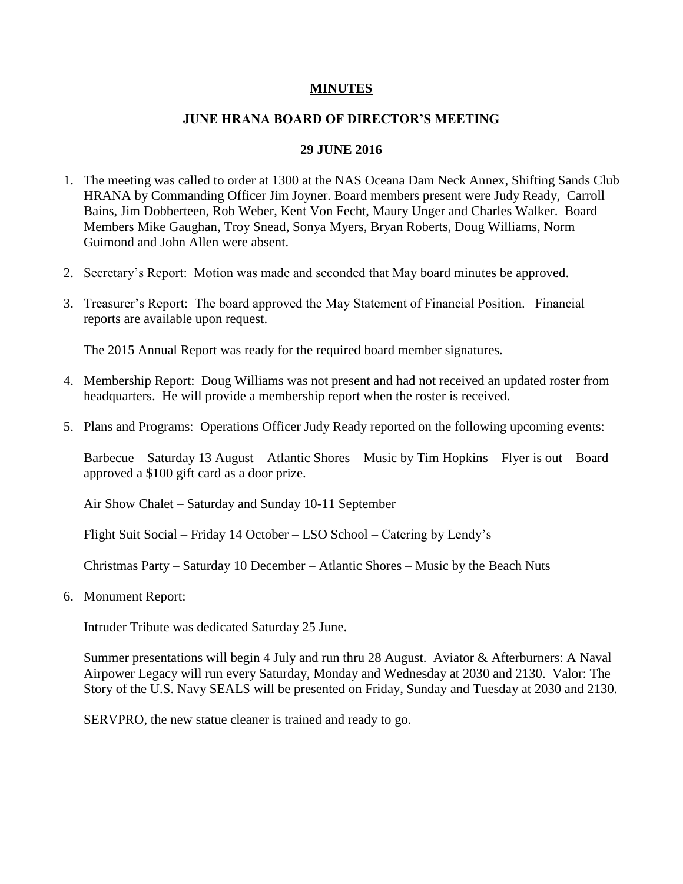## **MINUTES**

## **JUNE HRANA BOARD OF DIRECTOR'S MEETING**

## **29 JUNE 2016**

- 1. The meeting was called to order at 1300 at the NAS Oceana Dam Neck Annex, Shifting Sands Club HRANA by Commanding Officer Jim Joyner. Board members present were Judy Ready, Carroll Bains, Jim Dobberteen, Rob Weber, Kent Von Fecht, Maury Unger and Charles Walker. Board Members Mike Gaughan, Troy Snead, Sonya Myers, Bryan Roberts, Doug Williams, Norm Guimond and John Allen were absent.
- 2. Secretary's Report: Motion was made and seconded that May board minutes be approved.
- 3. Treasurer's Report: The board approved the May Statement of Financial Position. Financial reports are available upon request.

The 2015 Annual Report was ready for the required board member signatures.

- 4. Membership Report: Doug Williams was not present and had not received an updated roster from headquarters. He will provide a membership report when the roster is received.
- 5. Plans and Programs: Operations Officer Judy Ready reported on the following upcoming events:

Barbecue – Saturday 13 August – Atlantic Shores – Music by Tim Hopkins – Flyer is out – Board approved a \$100 gift card as a door prize.

Air Show Chalet – Saturday and Sunday 10-11 September

Flight Suit Social – Friday 14 October – LSO School – Catering by Lendy's

Christmas Party – Saturday 10 December – Atlantic Shores – Music by the Beach Nuts

6. Monument Report:

Intruder Tribute was dedicated Saturday 25 June.

Summer presentations will begin 4 July and run thru 28 August. Aviator & Afterburners: A Naval Airpower Legacy will run every Saturday, Monday and Wednesday at 2030 and 2130. Valor: The Story of the U.S. Navy SEALS will be presented on Friday, Sunday and Tuesday at 2030 and 2130.

SERVPRO, the new statue cleaner is trained and ready to go.